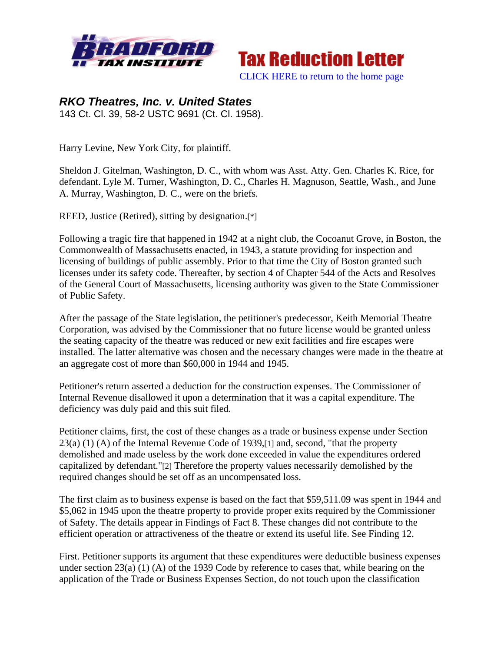



## *RKO Theatres, Inc. v. United States*  143 Ct. Cl. 39, 58-2 USTC 9691 (Ct. Cl. 1958).

Harry Levine, New York City, for plaintiff.

Sheldon J. Gitelman, Washington, D. C., with whom was Asst. Atty. Gen. Charles K. Rice, for defendant. Lyle M. Turner, Washington, D. C., Charles H. Magnuson, Seattle, Wash., and June A. Murray, Washington, D. C., were on the briefs.

REED, Justice (Retired), sitting by designation.[\*]

Following a tragic fire that happened in 1942 at a night club, the Cocoanut Grove, in Boston, the Commonwealth of Massachusetts enacted, in 1943, a statute providing for inspection and licensing of buildings of public assembly. Prior to that time the City of Boston granted such licenses under its safety code. Thereafter, by section 4 of Chapter 544 of the Acts and Resolves of the General Court of Massachusetts, licensing authority was given to the State Commissioner of Public Safety.

After the passage of the State legislation, the petitioner's predecessor, Keith Memorial Theatre Corporation, was advised by the Commissioner that no future license would be granted unless the seating capacity of the theatre was reduced or new exit facilities and fire escapes were installed. The latter alternative was chosen and the necessary changes were made in the theatre at an aggregate cost of more than \$60,000 in 1944 and 1945.

Petitioner's return asserted a deduction for the construction expenses. The Commissioner of Internal Revenue disallowed it upon a determination that it was a capital expenditure. The deficiency was duly paid and this suit filed.

Petitioner claims, first, the cost of these changes as a trade or business expense under Section 23(a) (1) (A) of the Internal Revenue Code of 1939,[1] and, second, "that the property demolished and made useless by the work done exceeded in value the expenditures ordered capitalized by defendant."[2] Therefore the property values necessarily demolished by the required changes should be set off as an uncompensated loss.

The first claim as to business expense is based on the fact that \$59,511.09 was spent in 1944 and \$5,062 in 1945 upon the theatre property to provide proper exits required by the Commissioner of Safety. The details appear in Findings of Fact 8. These changes did not contribute to the efficient operation or attractiveness of the theatre or extend its useful life. See Finding 12.

First. Petitioner supports its argument that these expenditures were deductible business expenses under section 23(a) (1) (A) of the 1939 Code by reference to cases that, while bearing on the application of the Trade or Business Expenses Section, do not touch upon the classification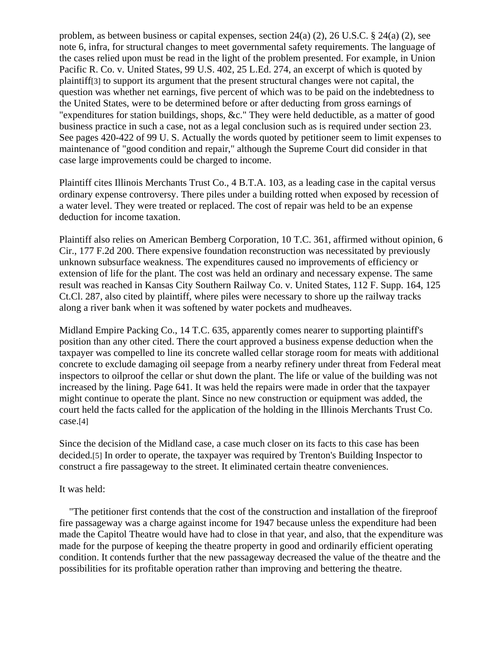problem, as between business or capital expenses, section 24(a) (2), 26 U.S.C. § 24(a) (2), see note 6, infra, for structural changes to meet governmental safety requirements. The language of the cases relied upon must be read in the light of the problem presented. For example, in Union Pacific R. Co. v. United States, 99 U.S. 402, 25 L.Ed. 274, an excerpt of which is quoted by plaintiff[3] to support its argument that the present structural changes were not capital, the question was whether net earnings, five percent of which was to be paid on the indebtedness to the United States, were to be determined before or after deducting from gross earnings of "expenditures for station buildings, shops, &c." They were held deductible, as a matter of good business practice in such a case, not as a legal conclusion such as is required under section 23. See pages 420-422 of 99 U. S. Actually the words quoted by petitioner seem to limit expenses to maintenance of "good condition and repair," although the Supreme Court did consider in that case large improvements could be charged to income.

Plaintiff cites Illinois Merchants Trust Co., 4 B.T.A. 103, as a leading case in the capital versus ordinary expense controversy. There piles under a building rotted when exposed by recession of a water level. They were treated or replaced. The cost of repair was held to be an expense deduction for income taxation.

Plaintiff also relies on American Bemberg Corporation, 10 T.C. 361, affirmed without opinion, 6 Cir., 177 F.2d 200. There expensive foundation reconstruction was necessitated by previously unknown subsurface weakness. The expenditures caused no improvements of efficiency or extension of life for the plant. The cost was held an ordinary and necessary expense. The same result was reached in Kansas City Southern Railway Co. v. United States, 112 F. Supp. 164, 125 Ct.Cl. 287, also cited by plaintiff, where piles were necessary to shore up the railway tracks along a river bank when it was softened by water pockets and mudheaves.

Midland Empire Packing Co., 14 T.C. 635, apparently comes nearer to supporting plaintiff's position than any other cited. There the court approved a business expense deduction when the taxpayer was compelled to line its concrete walled cellar storage room for meats with additional concrete to exclude damaging oil seepage from a nearby refinery under threat from Federal meat inspectors to oilproof the cellar or shut down the plant. The life or value of the building was not increased by the lining. Page 641. It was held the repairs were made in order that the taxpayer might continue to operate the plant. Since no new construction or equipment was added, the court held the facts called for the application of the holding in the Illinois Merchants Trust Co. case.[4]

Since the decision of the Midland case, a case much closer on its facts to this case has been decided.[5] In order to operate, the taxpayer was required by Trenton's Building Inspector to construct a fire passageway to the street. It eliminated certain theatre conveniences.

## It was held:

 "The petitioner first contends that the cost of the construction and installation of the fireproof fire passageway was a charge against income for 1947 because unless the expenditure had been made the Capitol Theatre would have had to close in that year, and also, that the expenditure was made for the purpose of keeping the theatre property in good and ordinarily efficient operating condition. It contends further that the new passageway decreased the value of the theatre and the possibilities for its profitable operation rather than improving and bettering the theatre.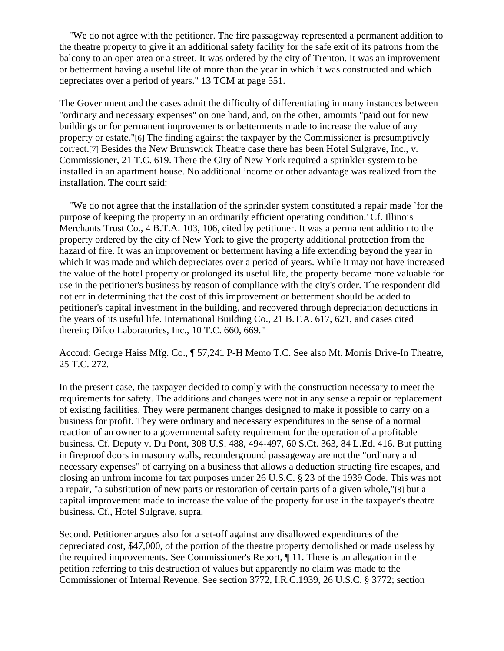"We do not agree with the petitioner. The fire passageway represented a permanent addition to the theatre property to give it an additional safety facility for the safe exit of its patrons from the balcony to an open area or a street. It was ordered by the city of Trenton. It was an improvement or betterment having a useful life of more than the year in which it was constructed and which depreciates over a period of years." 13 TCM at page 551.

The Government and the cases admit the difficulty of differentiating in many instances between "ordinary and necessary expenses" on one hand, and, on the other, amounts "paid out for new buildings or for permanent improvements or betterments made to increase the value of any property or estate."[6] The finding against the taxpayer by the Commissioner is presumptively correct.[7] Besides the New Brunswick Theatre case there has been Hotel Sulgrave, Inc., v. Commissioner, 21 T.C. 619. There the City of New York required a sprinkler system to be installed in an apartment house. No additional income or other advantage was realized from the installation. The court said:

 "We do not agree that the installation of the sprinkler system constituted a repair made `for the purpose of keeping the property in an ordinarily efficient operating condition.' Cf. Illinois Merchants Trust Co., 4 B.T.A. 103, 106, cited by petitioner. It was a permanent addition to the property ordered by the city of New York to give the property additional protection from the hazard of fire. It was an improvement or betterment having a life extending beyond the year in which it was made and which depreciates over a period of years. While it may not have increased the value of the hotel property or prolonged its useful life, the property became more valuable for use in the petitioner's business by reason of compliance with the city's order. The respondent did not err in determining that the cost of this improvement or betterment should be added to petitioner's capital investment in the building, and recovered through depreciation deductions in the years of its useful life. International Building Co., 21 B.T.A. 617, 621, and cases cited therein; Difco Laboratories, Inc., 10 T.C. 660, 669."

Accord: George Haiss Mfg. Co., ¶ 57,241 P-H Memo T.C. See also Mt. Morris Drive-In Theatre, 25 T.C. 272.

In the present case, the taxpayer decided to comply with the construction necessary to meet the requirements for safety. The additions and changes were not in any sense a repair or replacement of existing facilities. They were permanent changes designed to make it possible to carry on a business for profit. They were ordinary and necessary expenditures in the sense of a normal reaction of an owner to a governmental safety requirement for the operation of a profitable business. Cf. Deputy v. Du Pont, 308 U.S. 488, 494-497, 60 S.Ct. 363, 84 L.Ed. 416. But putting in fireproof doors in masonry walls, reconderground passageway are not the "ordinary and necessary expenses" of carrying on a business that allows a deduction structing fire escapes, and closing an unfrom income for tax purposes under 26 U.S.C. § 23 of the 1939 Code. This was not a repair, "a substitution of new parts or restoration of certain parts of a given whole,"[8] but a capital improvement made to increase the value of the property for use in the taxpayer's theatre business. Cf., Hotel Sulgrave, supra.

Second. Petitioner argues also for a set-off against any disallowed expenditures of the depreciated cost, \$47,000, of the portion of the theatre property demolished or made useless by the required improvements. See Commissioner's Report, ¶ 11. There is an allegation in the petition referring to this destruction of values but apparently no claim was made to the Commissioner of Internal Revenue. See section 3772, I.R.C.1939, 26 U.S.C. § 3772; section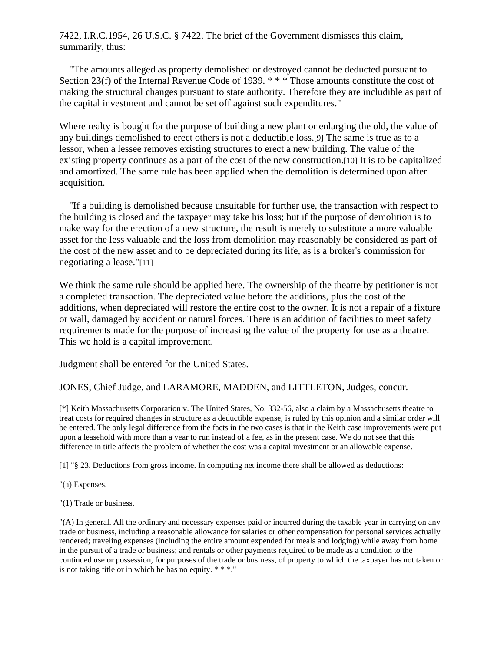7422, I.R.C.1954, 26 U.S.C. § 7422. The brief of the Government dismisses this claim, summarily, thus:

 "The amounts alleged as property demolished or destroyed cannot be deducted pursuant to Section 23(f) of the Internal Revenue Code of 1939. \*\*\* Those amounts constitute the cost of making the structural changes pursuant to state authority. Therefore they are includible as part of the capital investment and cannot be set off against such expenditures."

Where realty is bought for the purpose of building a new plant or enlarging the old, the value of any buildings demolished to erect others is not a deductible loss.[9] The same is true as to a lessor, when a lessee removes existing structures to erect a new building. The value of the existing property continues as a part of the cost of the new construction.[10] It is to be capitalized and amortized. The same rule has been applied when the demolition is determined upon after acquisition.

 "If a building is demolished because unsuitable for further use, the transaction with respect to the building is closed and the taxpayer may take his loss; but if the purpose of demolition is to make way for the erection of a new structure, the result is merely to substitute a more valuable asset for the less valuable and the loss from demolition may reasonably be considered as part of the cost of the new asset and to be depreciated during its life, as is a broker's commission for negotiating a lease."[11]

We think the same rule should be applied here. The ownership of the theatre by petitioner is not a completed transaction. The depreciated value before the additions, plus the cost of the additions, when depreciated will restore the entire cost to the owner. It is not a repair of a fixture or wall, damaged by accident or natural forces. There is an addition of facilities to meet safety requirements made for the purpose of increasing the value of the property for use as a theatre. This we hold is a capital improvement.

Judgment shall be entered for the United States.

JONES, Chief Judge, and LARAMORE, MADDEN, and LITTLETON, Judges, concur.

[\*] Keith Massachusetts Corporation v. The United States, No. 332-56, also a claim by a Massachusetts theatre to treat costs for required changes in structure as a deductible expense, is ruled by this opinion and a similar order will be entered. The only legal difference from the facts in the two cases is that in the Keith case improvements were put upon a leasehold with more than a year to run instead of a fee, as in the present case. We do not see that this difference in title affects the problem of whether the cost was a capital investment or an allowable expense.

[1] "§ 23. Deductions from gross income. In computing net income there shall be allowed as deductions:

"(a) Expenses.

"(1) Trade or business.

"(A) In general. All the ordinary and necessary expenses paid or incurred during the taxable year in carrying on any trade or business, including a reasonable allowance for salaries or other compensation for personal services actually rendered; traveling expenses (including the entire amount expended for meals and lodging) while away from home in the pursuit of a trade or business; and rentals or other payments required to be made as a condition to the continued use or possession, for purposes of the trade or business, of property to which the taxpayer has not taken or is not taking title or in which he has no equity. \* \* \*."